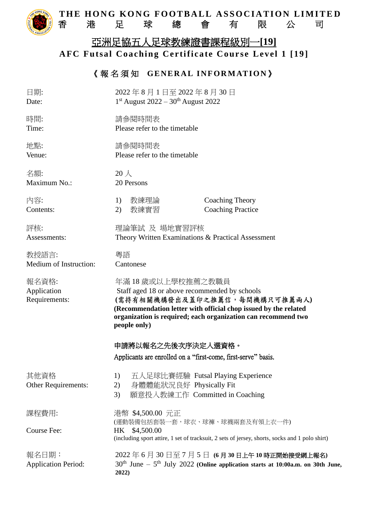

### THE HONG KONG FOOTBALL ASSOCIATION LIMITED<br>香 港 足 球 總 會 有 限 公 司 香港足球總會有限公司

# 亞洲足協五人足球教練證書課程級別一**[19] AFC Futsal Coaching Certificate Course Level 1 [19]**

## 《報名須知 GENERAL INFORMATION》

| 日期:<br>Date:                          | 2022年8月1日至2022年8月30日<br>$1st$ August 2022 – 30 <sup>th</sup> August 2022                                                                                                                                                                                 |
|---------------------------------------|----------------------------------------------------------------------------------------------------------------------------------------------------------------------------------------------------------------------------------------------------------|
| 時間:<br>Time:                          | 請參閱時間表<br>Please refer to the timetable                                                                                                                                                                                                                  |
| 地點:<br>Venue:                         | 請參閱時間表<br>Please refer to the timetable                                                                                                                                                                                                                  |
| 名額:<br>Maximum No.:                   | $20 \lambda$<br>20 Persons                                                                                                                                                                                                                               |
| 內容:<br>Contents:                      | 教練理論<br>Coaching Theory<br>1)<br>教練實習<br><b>Coaching Practice</b><br>2)                                                                                                                                                                                  |
| 評核:<br>Assessments:                   | 理論筆試 及 場地實習評核<br>Theory Written Examinations & Practical Assessment                                                                                                                                                                                      |
| 教授語言:<br>Medium of Instruction:       | 粵語<br>Cantonese                                                                                                                                                                                                                                          |
| 報名資格:<br>Application<br>Requirements: | 年滿 18 歲或以上學校推薦之教職員<br>Staff aged 18 or above recommended by schools<br>(需持有相關機構發出及蓋印之推薦信,每間機構只可推薦兩人)<br>(Recommendation letter with official chop issued by the related<br>organization is required; each organization can recommend two<br>people only) |
|                                       | 申請將以報名之先後次序決定入選資格。<br>Applicants are enrolled on a "first-come, first-serve" basis.                                                                                                                                                                      |
| 其他資格<br>Other Requirements:           | 五人足球比賽經驗 Futsal Playing Experience<br>1)<br>身體體能狀況良好 Physically Fit<br>2)<br>願意投入教練工作 Committed in Coaching<br>3)                                                                                                                                        |
| 課程費用:                                 | 港幣 \$4,500.00 元正<br>(運動裝備包括套裝一套,球衣、球褲、球襪兩套及有領上衣一件)                                                                                                                                                                                                       |
| Course Fee:                           | \$4,500.00<br>HK.<br>(including sport attire, 1 set of tracksuit, 2 sets of jersey, shorts, socks and 1 polo shirt)                                                                                                                                      |
| 報名日期:<br><b>Application Period:</b>   | 2022年6月30日至7月5日 (6月30日上午10時正開始接受網上報名)<br>$30th$ June - $5th$ July 2022 (Online application starts at 10:00a.m. on 30th June,<br>2022)                                                                                                                    |